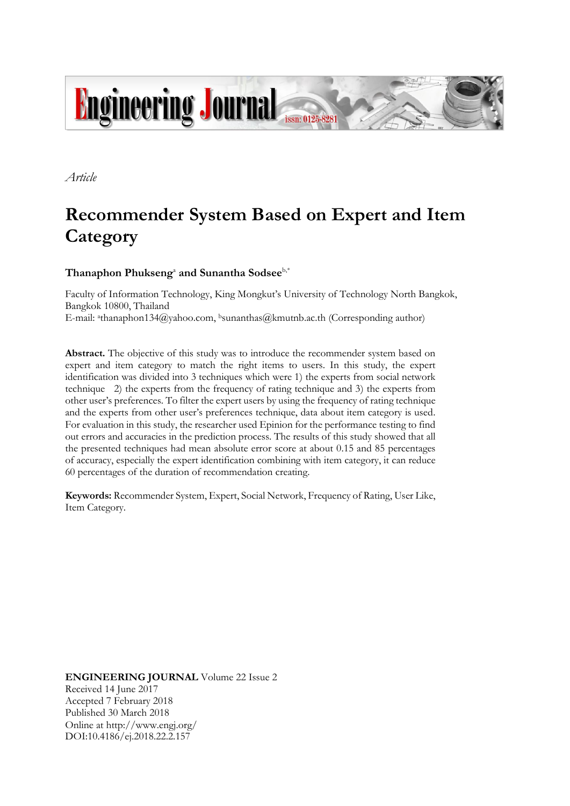

*Article*

# **Recommender System Based on Expert and Item Category**

## **Thanaphon Phukseng**<sup>a</sup> **and Sunantha Sodsee**b,\*

Faculty of Information Technology, King Mongkut's University of Technology North Bangkok, Bangkok 10800, Thailand E-mail: <sup>a</sup>thanaphon134@yahoo.com, <sup>b</sup>sunanthas@kmutnb.ac.th (Corresponding author)

**Abstract.** The objective of this study was to introduce the recommender system based on expert and item category to match the right items to users. In this study, the expert identification was divided into 3 techniques which were 1) the experts from social network technique 2) the experts from the frequency of rating technique and 3) the experts from other user's preferences. To filter the expert users by using the frequency of rating technique and the experts from other user's preferences technique, data about item category is used. For evaluation in this study, the researcher used Epinion for the performance testing to find out errors and accuracies in the prediction process. The results of this study showed that all the presented techniques had mean absolute error score at about 0.15 and 85 percentages of accuracy, especially the expert identification combining with item category, it can reduce 60 percentages of the duration of recommendation creating.

**Keywords:** Recommender System, Expert, Social Network, Frequency of Rating, User Like, Item Category.

**ENGINEERING JOURNAL** Volume 22 Issue 2 Received 14 June 2017 Accepted 7 February 2018 Published 30 March 2018 Online at http://www.engj.org/ DOI:10.4186/ej.2018.22.2.157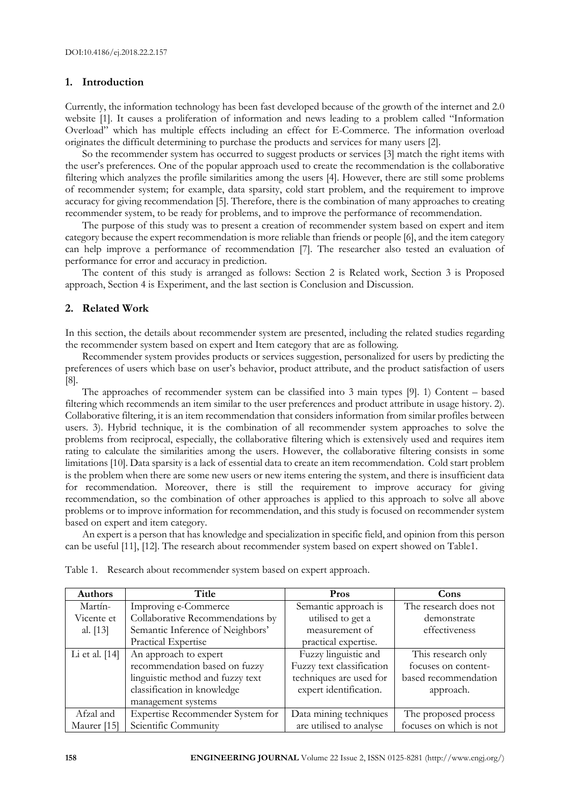## **1. Introduction**

Currently, the information technology has been fast developed because of the growth of the internet and 2.0 website [1]. It causes a proliferation of information and news leading to a problem called "Information Overload" which has multiple effects including an effect for E-Commerce. The information overload originates the difficult determining to purchase the products and services for many users [2].

So the recommender system has occurred to suggest products or services [3] match the right items with the user's preferences. One of the popular approach used to create the recommendation is the collaborative filtering which analyzes the profile similarities among the users [4]. However, there are still some problems of recommender system; for example, data sparsity, cold start problem, and the requirement to improve accuracy for giving recommendation [5]. Therefore, there is the combination of many approaches to creating recommender system, to be ready for problems, and to improve the performance of recommendation.

The purpose of this study was to present a creation of recommender system based on expert and item category because the expert recommendation is more reliable than friends or people [6], and the item category can help improve a performance of recommendation [7]. The researcher also tested an evaluation of performance for error and accuracy in prediction.

The content of this study is arranged as follows: Section 2 is Related work, Section 3 is Proposed approach, Section 4 is Experiment, and the last section is Conclusion and Discussion.

## **2. Related Work**

In this section, the details about recommender system are presented, including the related studies regarding the recommender system based on expert and Item category that are as following.

Recommender system provides products or services suggestion, personalized for users by predicting the preferences of users which base on user's behavior, product attribute, and the product satisfaction of users [8].

The approaches of recommender system can be classified into 3 main types [9]. 1) Content – based filtering which recommends an item similar to the user preferences and product attribute in usage history. 2). Collaborative filtering, it is an item recommendation that considers information from similar profiles between users. 3). Hybrid technique, it is the combination of all recommender system approaches to solve the problems from reciprocal, especially, the collaborative filtering which is extensively used and requires item rating to calculate the similarities among the users. However, the collaborative filtering consists in some limitations [10]. Data sparsity is a lack of essential data to create an item recommendation. Cold start problem is the problem when there are some new users or new items entering the system, and there is insufficient data for recommendation. Moreover, there is still the requirement to improve accuracy for giving recommendation, so the combination of other approaches is applied to this approach to solve all above problems or to improve information for recommendation, and this study is focused on recommender system based on expert and item category.

An expert is a person that has knowledge and specialization in specific field, and opinion from this person can be useful [11], [12]. The research about recommender system based on expert showed on Table1.

| Authors          | Title                            | Pros                      | Cons                    |
|------------------|----------------------------------|---------------------------|-------------------------|
| Martín-          | Improving e-Commerce             | Semantic approach is      | The research does not   |
| Vicente et       | Collaborative Recommendations by | utilised to get a         | demonstrate             |
| al. $[13]$       | Semantic Inference of Neighbors' | measurement of            | effectiveness           |
|                  | Practical Expertise              | practical expertise.      |                         |
| Li et al. $[14]$ | An approach to expert            | Fuzzy linguistic and      | This research only      |
|                  | recommendation based on fuzzy    | Fuzzy text classification | focuses on content-     |
|                  | linguistic method and fuzzy text | techniques are used for   | based recommendation    |
|                  | classification in knowledge      | expert identification.    | approach.               |
|                  | management systems               |                           |                         |
| Afzal and        | Expertise Recommender System for | Data mining techniques    | The proposed process    |
| Maurer [15]      | Scientific Community             | are utilised to analyse   | focuses on which is not |

Table 1. Research about recommender system based on expert approach.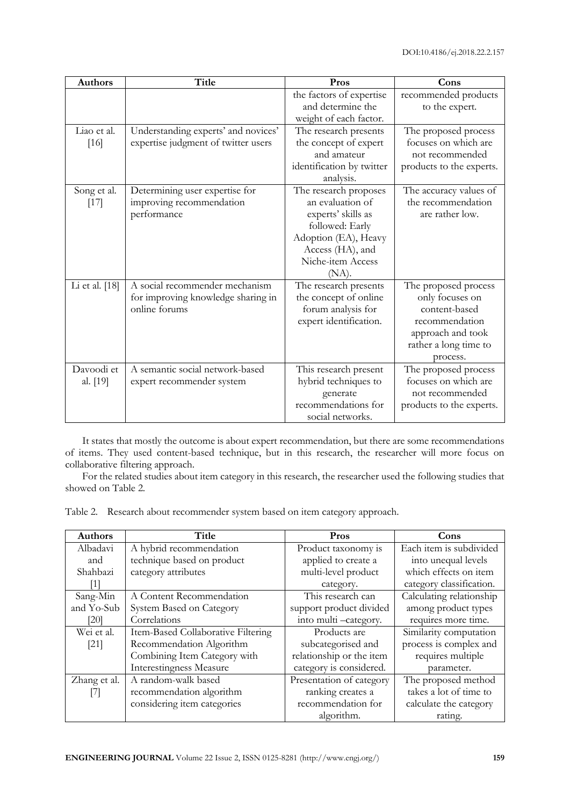| <b>Authors</b>         | <b>Title</b>                                                                          | Pros                                                                                                                                                            | Cons                                                                                                                                 |
|------------------------|---------------------------------------------------------------------------------------|-----------------------------------------------------------------------------------------------------------------------------------------------------------------|--------------------------------------------------------------------------------------------------------------------------------------|
|                        |                                                                                       | the factors of expertise<br>and determine the<br>weight of each factor.                                                                                         | recommended products<br>to the expert.                                                                                               |
| Liao et al.<br>[16]    | Understanding experts' and novices'<br>expertise judgment of twitter users            | The research presents<br>the concept of expert<br>and amateur<br>identification by twitter<br>analysis.                                                         | The proposed process<br>focuses on which are<br>not recommended<br>products to the experts.                                          |
| Song et al.<br>$[17]$  | Determining user expertise for<br>improving recommendation<br>performance             | The research proposes<br>an evaluation of<br>experts' skills as<br>followed: Early<br>Adoption (EA), Heavy<br>Access (HA), and<br>Niche-item Access<br>$(NA)$ . | The accuracy values of<br>the recommendation<br>are rather low.                                                                      |
| Li et al. [18]         | A social recommender mechanism<br>for improving knowledge sharing in<br>online forums | The research presents<br>the concept of online<br>forum analysis for<br>expert identification.                                                                  | The proposed process<br>only focuses on<br>content-based<br>recommendation<br>approach and took<br>rather a long time to<br>process. |
| Davoodi et<br>al. [19] | A semantic social network-based<br>expert recommender system                          | This research present<br>hybrid techniques to<br>generate<br>recommendations for<br>social networks.                                                            | The proposed process<br>focuses on which are<br>not recommended<br>products to the experts.                                          |

It states that mostly the outcome is about expert recommendation, but there are some recommendations of items. They used content-based technique, but in this research, the researcher will more focus on collaborative filtering approach.

For the related studies about item category in this research, the researcher used the following studies that showed on Table 2.

Table 2. Research about recommender system based on item category approach.

| <b>Authors</b> | Title                              | Pros                     | Cons                     |  |
|----------------|------------------------------------|--------------------------|--------------------------|--|
| Albadavi       | A hybrid recommendation            | Product taxonomy is      | Each item is subdivided  |  |
| and            | technique based on product         | applied to create a      | into unequal levels      |  |
| Shahbazi       | category attributes                | multi-level product      | which effects on item    |  |
|                |                                    | category.                | category classification. |  |
| Sang-Min       | A Content Recommendation           | This research can        | Calculating relationship |  |
| and Yo-Sub     | System Based on Category           | support product divided  | among product types      |  |
| [20]           | Correlations                       | into multi -category.    | requires more time.      |  |
| Wei et al.     | Item-Based Collaborative Filtering | Products are             | Similarity computation   |  |
| $[21]$         | Recommendation Algorithm           | subcategorised and       | process is complex and   |  |
|                | Combining Item Category with       | relationship or the item | requires multiple        |  |
|                | Interestingness Measure            | category is considered.  | parameter.               |  |
| Zhang et al.   | A random-walk based                | Presentation of category | The proposed method      |  |
| [7]            | recommendation algorithm           | ranking creates a        | takes a lot of time to   |  |
|                | considering item categories        | recommendation for       | calculate the category   |  |
|                |                                    | algorithm.               | rating.                  |  |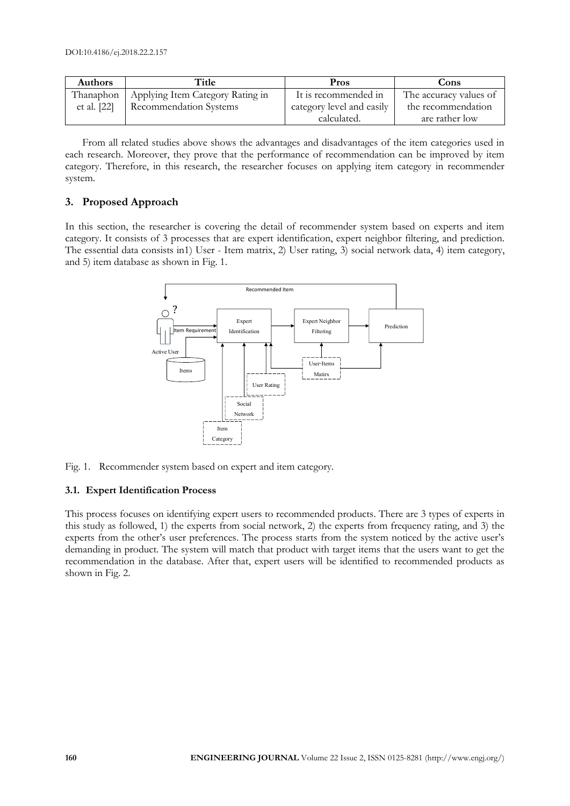| <b>Authors</b> | Title                            | Pros                      | Cons                   |
|----------------|----------------------------------|---------------------------|------------------------|
| Thanaphon      | Applying Item Category Rating in | It is recommended in      | The accuracy values of |
| et al. [22]    | <b>Recommendation Systems</b>    | category level and easily | the recommendation     |
|                |                                  | calculated.               | are rather low         |

From all related studies above shows the advantages and disadvantages of the item categories used in each research. Moreover, they prove that the performance of recommendation can be improved by item category. Therefore, in this research, the researcher focuses on applying item category in recommender system.

## **3. Proposed Approach**

In this section, the researcher is covering the detail of recommender system based on experts and item category. It consists of 3 processes that are expert identification, expert neighbor filtering, and prediction. The essential data consists in1) User - Item matrix, 2) User rating, 3) social network data, 4) item category, and 5) item database as shown in Fig. 1.



Fig. 1. Recommender system based on expert and item category.

## **3.1. Expert Identification Process**

This process focuses on identifying expert users to recommended products. There are 3 types of experts in this study as followed, 1) the experts from social network, 2) the experts from frequency rating, and 3) the experts from the other's user preferences. The process starts from the system noticed by the active user's demanding in product. The system will match that product with target items that the users want to get the recommendation in the database. After that, expert users will be identified to recommended products as shown in Fig. 2.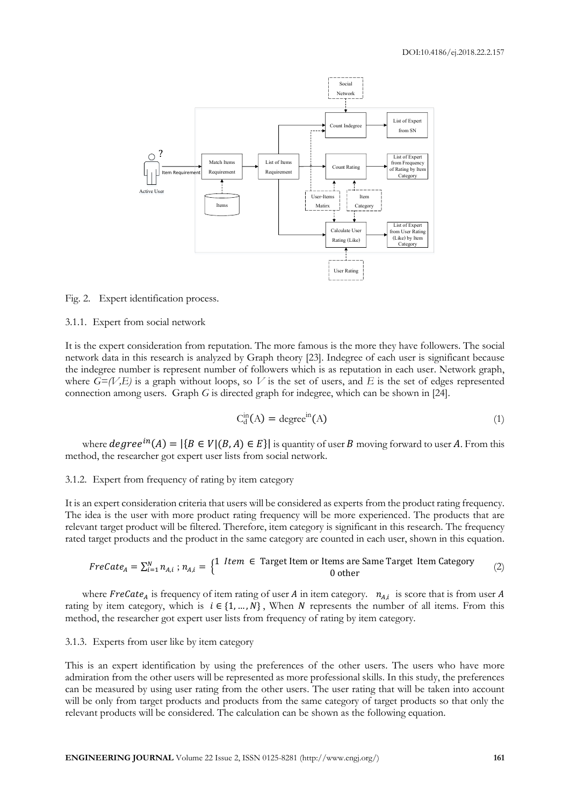

Fig. 2. Expert identification process.

3.1.1. Expert from social network

It is the expert consideration from reputation. The more famous is the more they have followers. The social network data in this research is analyzed by Graph theory [23]. Indegree of each user is significant because the indegree number is represent number of followers which is as reputation in each user. Network graph, where  $G=(V,E)$  is a graph without loops, so V is the set of users, and E is the set of edges represented connection among users. Graph *G* is directed graph for indegree, which can be shown in [24].

$$
C_d^{\text{in}}(A) = \text{degree}^{\text{in}}(A) \tag{1}
$$

where  $degree^{in}(A) = |\{B \in V | (B, A) \in E\}|$  is quantity of user B moving forward to user A. From this method, the researcher got expert user lists from social network.

#### 3.1.2. Expert from frequency of rating by item category

It is an expert consideration criteria that users will be considered as experts from the product rating frequency. The idea is the user with more product rating frequency will be more experienced. The products that are relevant target product will be filtered. Therefore, item category is significant in this research. The frequency rated target products and the product in the same category are counted in each user, shown in this equation.

$$
FreCate_A = \sum_{i=1}^{N} n_{A,i} ; n_{A,i} = \begin{cases} 1 & \text{Item } \in \text{Target Item or items are Same Target Item Category} \\ 0 & \text{other} \end{cases} \tag{2}
$$

where FreCate<sub>A</sub> is frequency of item rating of user A in item category.  $n_{A,i}$  is score that is from user A rating by item category, which is  $i \in \{1, ..., N\}$ , When N represents the number of all items. From this method, the researcher got expert user lists from frequency of rating by item category.

#### 3.1.3. Experts from user like by item category

This is an expert identification by using the preferences of the other users. The users who have more admiration from the other users will be represented as more professional skills. In this study, the preferences can be measured by using user rating from the other users. The user rating that will be taken into account will be only from target products and products from the same category of target products so that only the relevant products will be considered. The calculation can be shown as the following equation.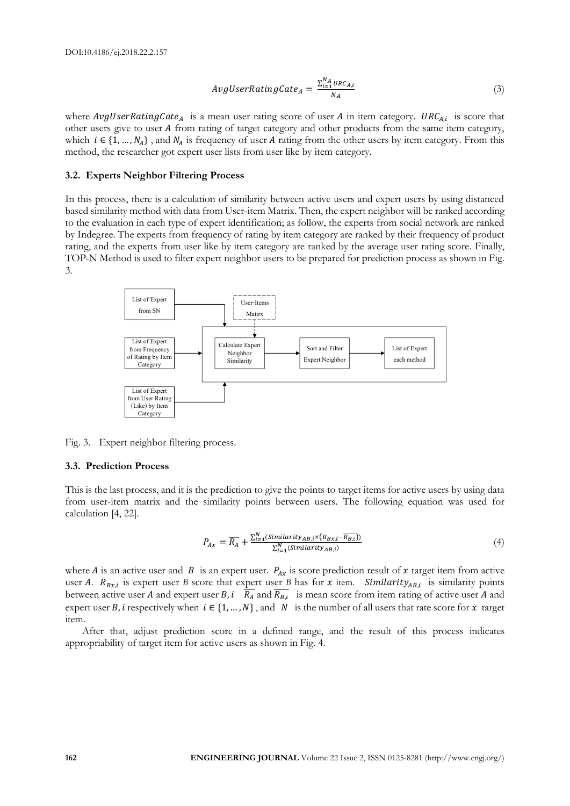$$
AvgUserRatingGate_A = \frac{\sum_{i=1}^{N_A} \text{URC}_{A,i}}{N_A}
$$
\n(3)

where *AvgUserRatingCate<sub>A</sub>* is a mean user rating score of user *A* in item category.  $URC_{A,i}$  is score that other users give to user A from rating of target category and other products from the same item category, which  $i \in \{1, ..., N_A\}$ , and  $N_A$  is frequency of user A rating from the other users by item category. From this method, the researcher got expert user lists from user like by item category.

#### **3.2. Experts Neighbor Filtering Process**

In this process, there is a calculation of similarity between active users and expert users by using distanced based similarity method with data from User-item Matrix. Then, the expert neighbor will be ranked according to the evaluation in each type of expert identification; as follow, the experts from social network are ranked by Indegree. The experts from frequency of rating by item category are ranked by their frequency of product rating, and the experts from user like by item category are ranked by the average user rating score. Finally, TOP-N Method is used to filter expert neighbor users to be prepared for prediction process as shown in Fig. 3.



Fig. 3. Expert neighbor filtering process.

#### **3.3. Prediction Process**

This is the last process, and it is the prediction to give the points to target items for active users by using data from user-item matrix and the similarity points between users. The following equation was used for calculation [4, 22].

$$
P_{Ax} = \overline{R_A} + \frac{\sum_{i=1}^{N} (Similarity_{AB,i} \times (R_{Bx,i} - \overline{R_{B,i}}))}{\sum_{i=1}^{N} (Similarity_{AB,i})}
$$
(4)

where A is an active user and B is an expert user.  $P_{Ax}$  is score prediction result of x target item from active user A.  $R_{Bx,i}$  is expert user *B* score that expert user *B* has for  $x$  item. Similarity<sub>AB,i</sub> is similarity points between active user A and expert user B,  $i$   $\overline{R_A}$  and  $\overline{R_{B,t}}$  is mean score from item rating of active user A and expert user B, i respectively when  $i \in \{1, ..., N\}$ , and N is the number of all users that rate score for  $x$  target item.

After that, adjust prediction score in a defined range, and the result of this process indicates appropriability of target item for active users as shown in Fig. 4.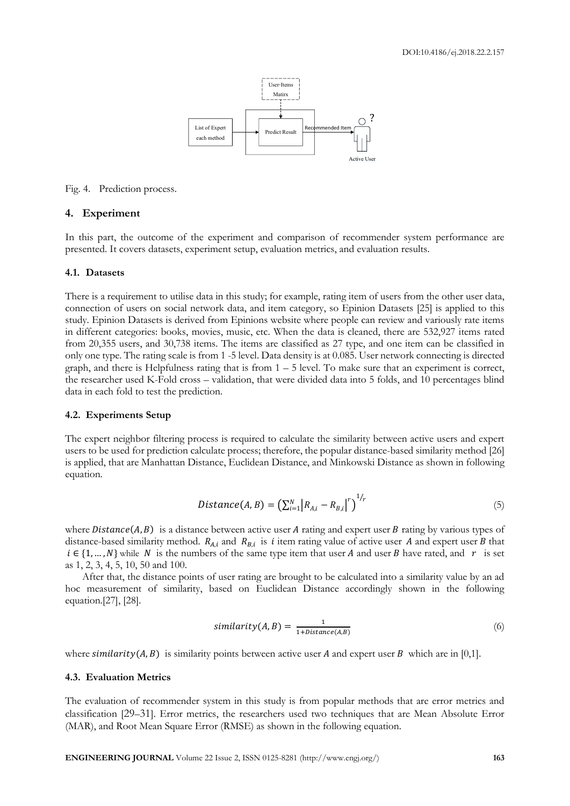

Fig. 4. Prediction process.

## **4. Experiment**

In this part, the outcome of the experiment and comparison of recommender system performance are presented. It covers datasets, experiment setup, evaluation metrics, and evaluation results.

#### **4.1. Datasets**

There is a requirement to utilise data in this study; for example, rating item of users from the other user data, connection of users on social network data, and item category, so Epinion Datasets [25] is applied to this study. Epinion Datasets is derived from Epinions website where people can review and variously rate items in different categories: books, movies, music, etc. When the data is cleaned, there are 532,927 items rated from 20,355 users, and 30,738 items. The items are classified as 27 type, and one item can be classified in only one type. The rating scale is from 1 -5 level. Data density is at 0.085. User network connecting is directed graph, and there is Helpfulness rating that is from  $1 - 5$  level. To make sure that an experiment is correct, the researcher used K-Fold cross – validation, that were divided data into 5 folds, and 10 percentages blind data in each fold to test the prediction.

#### **4.2. Experiments Setup**

The expert neighbor filtering process is required to calculate the similarity between active users and expert users to be used for prediction calculate process; therefore, the popular distance-based similarity method [26] is applied, that are Manhattan Distance, Euclidean Distance, and Minkowski Distance as shown in following equation.

$$
Distance(A, B) = (\sum_{i=1}^{N} |R_{A,i} - R_{B,i}|^r)^{1/r}
$$
\n(5)

where  $Distance(A, B)$  is a distance between active user A rating and expert user B rating by various types of distance-based similarity method.  $R_{A,i}$  and  $R_{B,i}$  is *i* item rating value of active user A and expert user B that  $i \in \{1, ..., N\}$  while N is the numbers of the same type item that user A and user B have rated, and r is set as 1, 2, 3, 4, 5, 10, 50 and 100.

After that, the distance points of user rating are brought to be calculated into a similarity value by an ad hoc measurement of similarity, based on Euclidean Distance accordingly shown in the following equation.[27], [28].

$$
similarity(A, B) = \frac{1}{1 + Distance(A, B)}
$$
\n(6)

where  $similarity(A, B)$  is similarity points between active user A and expert user B which are in [0,1].

## **4.3. Evaluation Metrics**

The evaluation of recommender system in this study is from popular methods that are error metrics and classification [29–31]. Error metrics, the researchers used two techniques that are Mean Absolute Error (MAR), and Root Mean Square Error (RMSE) as shown in the following equation.

**ENGINEERING JOURNAL** Volume 22 Issue 2, ISSN 0125-8281 (http://www.engj.org/) **163**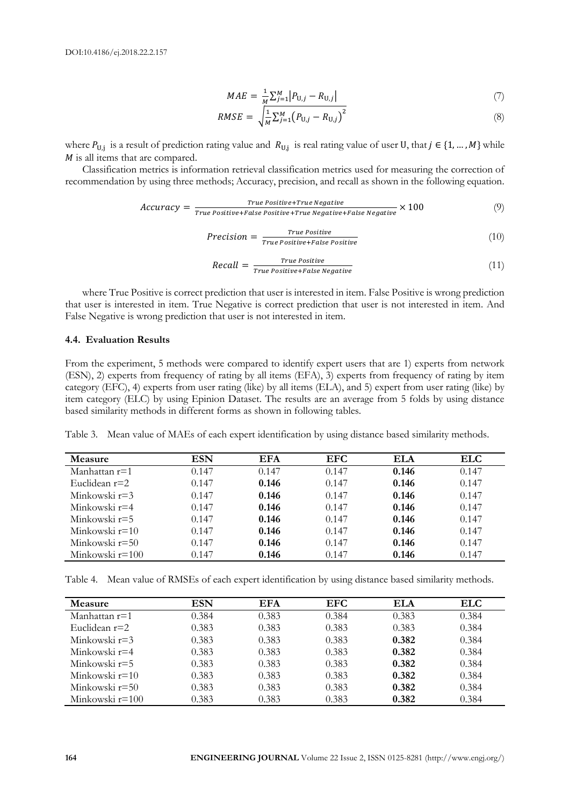$$
MAE = \frac{1}{M} \sum_{j=1}^{M} |P_{U,j} - R_{U,j}| \tag{7}
$$

$$
RMSE = \sqrt{\frac{1}{M} \sum_{j=1}^{M} (P_{U,j} - R_{U,j})^2}
$$
\n(8)

where  $P_{U,j}$  is a result of prediction rating value and  $R_{U,j}$  is real rating value of user U, that  $j \in \{1, ..., M\}$  while  *is all items that are compared.* 

Classification metrics is information retrieval classification metrics used for measuring the correction of recommendation by using three methods; Accuracy, precision, and recall as shown in the following equation.

$$
Accuracy = \frac{True \; Positive+True \; Positive+True \; Negative}{True \; Positive+False \; Positive+True \; Negative+False \; Negative+False \; Negative+False} \; (9)
$$

$$
Precision = \frac{True \; Positive}{True \; Positive + False \; Positive} \tag{10}
$$

$$
Recall = \frac{True \; Positive}{True \; Positive + False \; Negative} \tag{11}
$$

where True Positive is correct prediction that user is interested in item. False Positive is wrong prediction that user is interested in item. True Negative is correct prediction that user is not interested in item. And False Negative is wrong prediction that user is not interested in item.

## **4.4. Evaluation Results**

From the experiment, 5 methods were compared to identify expert users that are 1) experts from network (ESN), 2) experts from frequency of rating by all items (EFA), 3) experts from frequency of rating by item category (EFC), 4) experts from user rating (like) by all items (ELA), and 5) expert from user rating (like) by item category (ELC) by using Epinion Dataset. The results are an average from 5 folds by using distance based similarity methods in different forms as shown in following tables.

Table 3. Mean value of MAEs of each expert identification by using distance based similarity methods.

| Measure           | ESN   | <b>EFA</b> | EFC.  | <b>ELA</b> | <b>ELC</b> |
|-------------------|-------|------------|-------|------------|------------|
| Manhattan $r=1$   | 0.147 | 0.147      | 0.147 | 0.146      | 0.147      |
| Euclidean $r=2$   | 0.147 | 0.146      | 0.147 | 0.146      | 0.147      |
| Minkowski $r=3$   | 0.147 | 0.146      | 0.147 | 0.146      | 0.147      |
| Minkowski r=4     | 0.147 | 0.146      | 0.147 | 0.146      | 0.147      |
| Minkowski r=5     | 0.147 | 0.146      | 0.147 | 0.146      | 0.147      |
| Minkowski $r=10$  | 0.147 | 0.146      | 0.147 | 0.146      | 0.147      |
| Minkowski r=50    | 0.147 | 0.146      | 0.147 | 0.146      | 0.147      |
| Minkowski $r=100$ | 0.147 | 0.146      | 0.147 | 0.146      | 0.147      |

Table 4. Mean value of RMSEs of each expert identification by using distance based similarity methods.

| <b>Measure</b>    | ESN   | <b>EFA</b> | <b>EFC</b> | ELA   | <b>ELC</b> |
|-------------------|-------|------------|------------|-------|------------|
| Manhattan r=1     | 0.384 | 0.383      | 0.384      | 0.383 | 0.384      |
| Euclidean $r=2$   | 0.383 | 0.383      | 0.383      | 0.383 | 0.384      |
| Minkowski $r=3$   | 0.383 | 0.383      | 0.383      | 0.382 | 0.384      |
| Minkowski r=4     | 0.383 | 0.383      | 0.383      | 0.382 | 0.384      |
| Minkowski r=5     | 0.383 | 0.383      | 0.383      | 0.382 | 0.384      |
| Minkowski $r=10$  | 0.383 | 0.383      | 0.383      | 0.382 | 0.384      |
| Minkowski r=50    | 0.383 | 0.383      | 0.383      | 0.382 | 0.384      |
| Minkowski $r=100$ | 0.383 | 0.383      | 0.383      | 0.382 | 0.384      |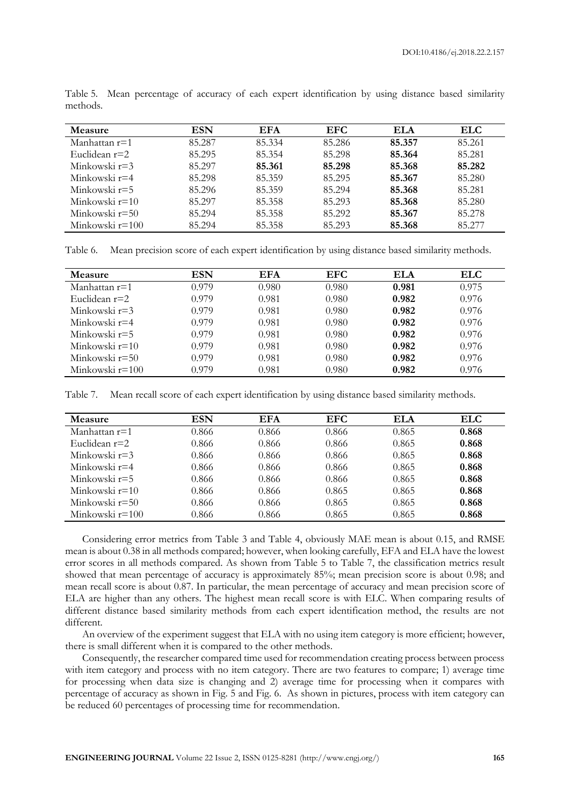| <b>Measure</b>   | ESN    | <b>EFA</b> | EFC.   | ELA    | <b>ELC</b> |
|------------------|--------|------------|--------|--------|------------|
| Manhattan r=1    | 85.287 | 85.334     | 85.286 | 85.357 | 85.261     |
| Euclidean $r=2$  | 85.295 | 85.354     | 85.298 | 85.364 | 85.281     |
| Minkowski r=3    | 85.297 | 85.361     | 85.298 | 85.368 | 85.282     |
| Minkowski r=4    | 85.298 | 85.359     | 85.295 | 85.367 | 85.280     |
| Minkowski r=5    | 85.296 | 85.359     | 85.294 | 85.368 | 85.281     |
| Minkowski $r=10$ | 85.297 | 85.358     | 85.293 | 85.368 | 85.280     |
| Minkowski r=50   | 85.294 | 85.358     | 85.292 | 85.367 | 85.278     |
| Minkowski r=100  | 85.294 | 85.358     | 85.293 | 85.368 | 85.277     |

Table 5. Mean percentage of accuracy of each expert identification by using distance based similarity methods.

Table 6. Mean precision score of each expert identification by using distance based similarity methods.

| Measure           | ESN   | <b>EFA</b> | EFC   | ELA   | <b>ELC</b> |
|-------------------|-------|------------|-------|-------|------------|
| Manhattan $r=1$   | 0.979 | 0.980      | 0.980 | 0.981 | 0.975      |
| Euclidean $r=2$   | 0.979 | 0.981      | 0.980 | 0.982 | 0.976      |
| Minkowski $r=3$   | 0.979 | 0.981      | 0.980 | 0.982 | 0.976      |
| Minkowski r=4     | 0.979 | 0.981      | 0.980 | 0.982 | 0.976      |
| Minkowski r=5     | 0.979 | 0.981      | 0.980 | 0.982 | 0.976      |
| Minkowski $r=10$  | 0.979 | 0.981      | 0.980 | 0.982 | 0.976      |
| Minkowski r=50    | 0.979 | 0.981      | 0.980 | 0.982 | 0.976      |
| Minkowski $r=100$ | 0.979 | 0.981      | 0.980 | 0.982 | 0.976      |

Table 7. Mean recall score of each expert identification by using distance based similarity methods.

| Measure         | <b>ESN</b> | <b>EFA</b> | <b>EFC</b> | <b>ELA</b> | <b>ELC</b> |
|-----------------|------------|------------|------------|------------|------------|
| Manhattan $r=1$ | 0.866      | 0.866      | 0.866      | 0.865      | 0.868      |
| Euclidean $r=2$ | 0.866      | 0.866      | 0.866      | 0.865      | 0.868      |
| Minkowski r=3   | 0.866      | 0.866      | 0.866      | 0.865      | 0.868      |
| Minkowski r=4   | 0.866      | 0.866      | 0.866      | 0.865      | 0.868      |
| Minkowski r=5   | 0.866      | 0.866      | 0.866      | 0.865      | 0.868      |
| Minkowski r=10  | 0.866      | 0.866      | 0.865      | 0.865      | 0.868      |
| Minkowski r=50  | 0.866      | 0.866      | 0.865      | 0.865      | 0.868      |
| Minkowski r=100 | 0.866      | 0.866      | 0.865      | 0.865      | 0.868      |

Considering error metrics from Table 3 and Table 4, obviously MAE mean is about 0.15, and RMSE mean is about 0.38 in all methods compared; however, when looking carefully, EFA and ELA have the lowest error scores in all methods compared. As shown from Table 5 to Table 7, the classification metrics result showed that mean percentage of accuracy is approximately 85%; mean precision score is about 0.98; and mean recall score is about 0.87. In particular, the mean percentage of accuracy and mean precision score of ELA are higher than any others. The highest mean recall score is with ELC. When comparing results of different distance based similarity methods from each expert identification method, the results are not different.

An overview of the experiment suggest that ELA with no using item category is more efficient; however, there is small different when it is compared to the other methods.

Consequently, the researcher compared time used for recommendation creating process between process with item category and process with no item category. There are two features to compare; 1) average time for processing when data size is changing and 2) average time for processing when it compares with percentage of accuracy as shown in Fig. 5 and Fig. 6. As shown in pictures, process with item category can be reduced 60 percentages of processing time for recommendation.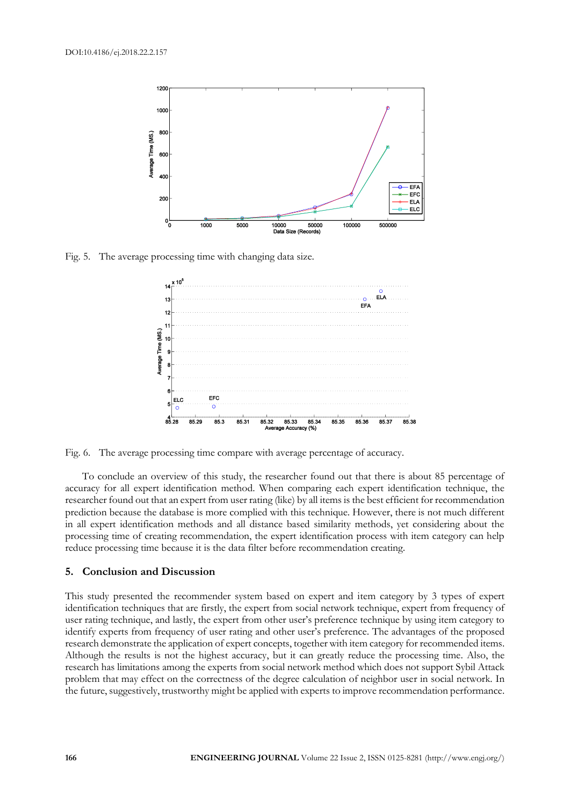

Fig. 5. The average processing time with changing data size.



Fig. 6. The average processing time compare with average percentage of accuracy.

To conclude an overview of this study, the researcher found out that there is about 85 percentage of accuracy for all expert identification method. When comparing each expert identification technique, the researcher found out that an expert from user rating (like) by all items is the best efficient for recommendation prediction because the database is more complied with this technique. However, there is not much different in all expert identification methods and all distance based similarity methods, yet considering about the processing time of creating recommendation, the expert identification process with item category can help reduce processing time because it is the data filter before recommendation creating.

## **5. Conclusion and Discussion**

This study presented the recommender system based on expert and item category by 3 types of expert identification techniques that are firstly, the expert from social network technique, expert from frequency of user rating technique, and lastly, the expert from other user's preference technique by using item category to identify experts from frequency of user rating and other user's preference. The advantages of the proposed research demonstrate the application of expert concepts, together with item category for recommended items. Although the results is not the highest accuracy, but it can greatly reduce the processing time. Also, the research has limitations among the experts from social network method which does not support Sybil Attack problem that may effect on the correctness of the degree calculation of neighbor user in social network. In the future, suggestively, trustworthy might be applied with experts to improve recommendation performance.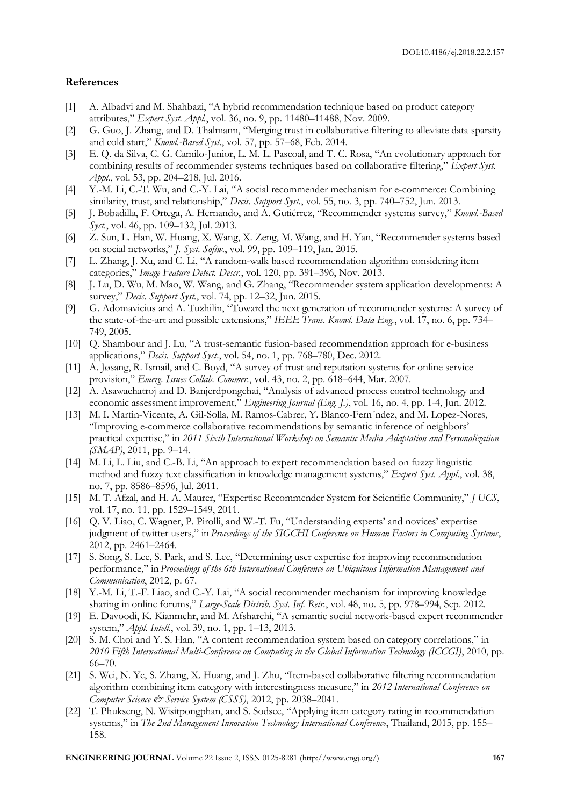## **References**

- [1] A. Albadvi and M. Shahbazi, "A hybrid recommendation technique based on product category attributes," *Expert Syst. Appl.*, vol. 36, no. 9, pp. 11480–11488, Nov. 2009.
- [2] G. Guo, J. Zhang, and D. Thalmann, "Merging trust in collaborative filtering to alleviate data sparsity and cold start," *Knowl.-Based Syst*., vol. 57, pp. 57–68, Feb. 2014.
- [3] E. Q. da Silva, C. G. Camilo-Junior, L. M. L. Pascoal, and T. C. Rosa, "An evolutionary approach for combining results of recommender systems techniques based on collaborative filtering," *Expert Syst. Appl.*, vol. 53, pp. 204–218, Jul. 2016.
- [4] Y.-M. Li, C.-T. Wu, and C.-Y. Lai, "A social recommender mechanism for e-commerce: Combining similarity, trust, and relationship," *Decis. Support Syst.*, vol. 55, no. 3, pp. 740–752, Jun. 2013.
- [5] J. Bobadilla, F. Ortega, A. Hernando, and A. Gutiérrez, "Recommender systems survey," *Knowl.-Based Syst.*, vol. 46, pp. 109–132, Jul. 2013.
- [6] Z. Sun, L. Han, W. Huang, X. Wang, X. Zeng, M. Wang, and H. Yan, "Recommender systems based on social networks," *J. Syst. Softw.*, vol. 99, pp. 109–119, Jan. 2015.
- [7] L. Zhang, J. Xu, and C. Li, "A random-walk based recommendation algorithm considering item categories," *Image Feature Detect. Descr.*, vol. 120, pp. 391–396, Nov. 2013.
- [8] J. Lu, D. Wu, M. Mao, W. Wang, and G. Zhang, "Recommender system application developments: A survey," *Decis. Support Syst.*, vol. 74, pp. 12–32, Jun. 2015.
- [9] G. Adomavicius and A. Tuzhilin, "Toward the next generation of recommender systems: A survey of the state-of-the-art and possible extensions," *IEEE Trans. Knowl. Data Eng.*, vol. 17, no. 6, pp. 734– 749, 2005.
- [10] Q. Shambour and J. Lu, "A trust-semantic fusion-based recommendation approach for e-business applications," *Decis. Support Syst*., vol. 54, no. 1, pp. 768–780, Dec. 2012.
- [11] A. Jøsang, R. Ismail, and C. Boyd, "A survey of trust and reputation systems for online service provision," *Emerg. Issues Collab. Commer.*, vol. 43, no. 2, pp. 618–644, Mar. 2007.
- [12] A. Asawachatroj and D. Banjerdpongchai, "Analysis of advanced process control technology and economic assessment improvement," *Engineering Journal (Eng. J.)*, vol. 16, no. 4, pp. 1-4, Jun. 2012.
- [13] M. I. Martin-Vicente, A. Gil-Solla, M. Ramos-Cabrer, Y. Blanco-Fern´ndez, and M. Lopez-Nores, "Improving e-commerce collaborative recommendations by semantic inference of neighbors' practical expertise," in *2011 Sixth International Workshop on Semantic Media Adaptation and Personalization (SMAP)*, 2011, pp. 9–14.
- [14] M. Li, L. Liu, and C.-B. Li, "An approach to expert recommendation based on fuzzy linguistic method and fuzzy text classification in knowledge management systems," *Expert Syst. Appl.*, vol. 38, no. 7, pp. 8586–8596, Jul. 2011.
- [15] M. T. Afzal, and H. A. Maurer, "Expertise Recommender System for Scientific Community," *J UCS*, vol. 17, no. 11, pp. 1529–1549, 2011.
- [16] Q. V. Liao, C. Wagner, P. Pirolli, and W.-T. Fu, "Understanding experts' and novices' expertise judgment of twitter users," in *Proceedings of the SIGCHI Conference on Human Factors in Computing Systems*, 2012, pp. 2461–2464.
- [17] S. Song, S. Lee, S. Park, and S. Lee, "Determining user expertise for improving recommendation performance," in *Proceedings of the 6th International Conference on Ubiquitous Information Management and Communication*, 2012, p. 67.
- [18] Y.-M. Li, T.-F. Liao, and C.-Y. Lai, "A social recommender mechanism for improving knowledge sharing in online forums," *Large-Scale Distrib. Syst. Inf. Retr.*, vol. 48, no. 5, pp. 978–994, Sep. 2012.
- [19] E. Davoodi, K. Kianmehr, and M. Afsharchi, "A semantic social network-based expert recommender system," *Appl. Intell.*, vol. 39, no. 1, pp. 1–13, 2013.
- [20] S. M. Choi and Y. S. Han, "A content recommendation system based on category correlations," in *2010 Fifth International Multi-Conference on Computing in the Global Information Technology (ICCGI)*, 2010, pp. 66–70.
- [21] S. Wei, N. Ye, S. Zhang, X. Huang, and J. Zhu, "Item-based collaborative filtering recommendation algorithm combining item category with interestingness measure," in *2012 International Conference on Computer Science & Service System (CSSS)*, 2012, pp. 2038–2041.
- [22] T. Phukseng, N. Wisitpongphan, and S. Sodsee, "Applying item category rating in recommendation systems," in *The 2nd Management Innovation Technology International Conference*, Thailand, 2015, pp. 155– 158.

**ENGINEERING JOURNAL** Volume 22 Issue 2, ISSN 0125-8281 (http://www.engj.org/) **167**